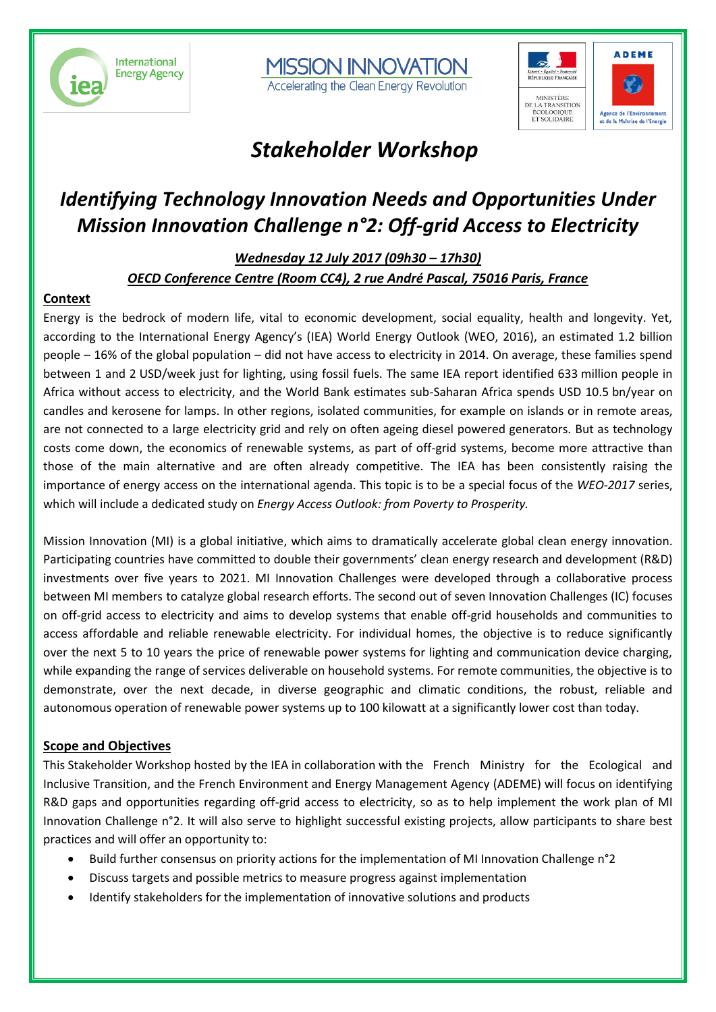





## *Stakeholder Workshop*

## *Identifying Technology Innovation Needs and Opportunities Under Mission Innovation Challenge n°2: Off-grid Access to Electricity*

*Wednesday 12 July 2017 (09h30 – 17h30) OECD Conference Centre (Room CC4), 2 rue André Pascal, 75016 Paris, France*

#### **Context**

Energy is the bedrock of modern life, vital to economic development, social equality, health and longevity. Yet, according to the International Energy Agency's (IEA) World Energy Outlook (WEO, 2016), an estimated 1.2 billion people – 16% of the global population – did not have access to electricity in 2014. On average, these families spend between 1 and 2 USD/week just for lighting, using fossil fuels. The same IEA report identified 633 million people in Africa without access to electricity, and the World Bank estimates sub-Saharan Africa spends USD 10.5 bn/year on candles and kerosene for lamps. In other regions, isolated communities, for example on islands or in remote areas, are not connected to a large electricity grid and rely on often ageing diesel powered generators. But as technology costs come down, the economics of renewable systems, as part of off-grid systems, become more attractive than those of the main alternative and are often already competitive. The IEA has been consistently raising the importance of energy access on the international agenda. This topic is to be a special focus of the *WEO-2017* series, which will include a dedicated study on *Energy Access Outlook: from Poverty to Prosperity.*

Mission Innovation (MI) is a global initiative, which aims to dramatically accelerate global clean energy innovation. Participating countries have committed to double their governments' clean energy research and development (R&D) investments over five years to 2021. MI Innovation Challenges were developed through a collaborative process between MI members to catalyze global research efforts. The second out of seven Innovation Challenges (IC) focuses on off-grid access to electricity and aims to develop systems that enable off-grid households and communities to access affordable and reliable renewable electricity. For individual homes, the objective is to reduce significantly over the next 5 to 10 years the price of renewable power systems for lighting and communication device charging, while expanding the range of services deliverable on household systems. For remote communities, the objective is to demonstrate, over the next decade, in diverse geographic and climatic conditions, the robust, reliable and autonomous operation of renewable power systems up to 100 kilowatt at a significantly lower cost than today.

#### **Scope and Objectives**

This Stakeholder Workshop hosted by the IEA in collaboration with the French Ministry for the Ecological and Inclusive Transition, and the French Environment and Energy Management Agency (ADEME) will focus on identifying R&D gaps and opportunities regarding off-grid access to electricity, so as to help implement the work plan of MI Innovation Challenge n°2. It will also serve to highlight successful existing projects, allow participants to share best practices and will offer an opportunity to:

- Build further consensus on priority actions for the implementation of MI Innovation Challenge n°2
- Discuss targets and possible metrics to measure progress against implementation
- Identify stakeholders for the implementation of innovative solutions and products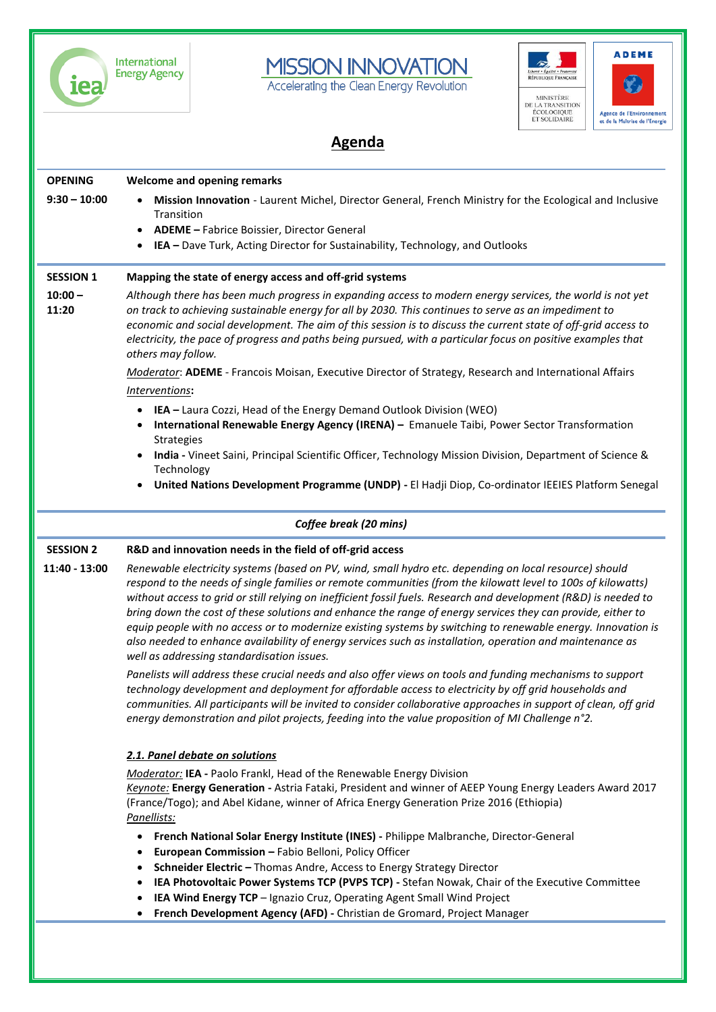

International<br>Energy Agency





### **Agenda**

| <b>OPENING</b>     | <b>Welcome and opening remarks</b>                                                                                                                                                                                                                                                                                                                                                                                                                                                                                                                                                                                                                                                                                                   |
|--------------------|--------------------------------------------------------------------------------------------------------------------------------------------------------------------------------------------------------------------------------------------------------------------------------------------------------------------------------------------------------------------------------------------------------------------------------------------------------------------------------------------------------------------------------------------------------------------------------------------------------------------------------------------------------------------------------------------------------------------------------------|
| $9:30 - 10:00$     | Mission Innovation - Laurent Michel, Director General, French Ministry for the Ecological and Inclusive                                                                                                                                                                                                                                                                                                                                                                                                                                                                                                                                                                                                                              |
|                    | Transition<br>ADEME - Fabrice Boissier, Director General                                                                                                                                                                                                                                                                                                                                                                                                                                                                                                                                                                                                                                                                             |
|                    | IEA - Dave Turk, Acting Director for Sustainability, Technology, and Outlooks<br>$\bullet$                                                                                                                                                                                                                                                                                                                                                                                                                                                                                                                                                                                                                                           |
| <b>SESSION 1</b>   | Mapping the state of energy access and off-grid systems                                                                                                                                                                                                                                                                                                                                                                                                                                                                                                                                                                                                                                                                              |
| $10:00 -$<br>11:20 | Although there has been much progress in expanding access to modern energy services, the world is not yet<br>on track to achieving sustainable energy for all by 2030. This continues to serve as an impediment to<br>economic and social development. The aim of this session is to discuss the current state of off-grid access to<br>electricity, the pace of progress and paths being pursued, with a particular focus on positive examples that<br>others may follow.                                                                                                                                                                                                                                                           |
|                    | Moderator: ADEME - Francois Moisan, Executive Director of Strategy, Research and International Affairs                                                                                                                                                                                                                                                                                                                                                                                                                                                                                                                                                                                                                               |
|                    | Interventions:                                                                                                                                                                                                                                                                                                                                                                                                                                                                                                                                                                                                                                                                                                                       |
|                    | • IEA - Laura Cozzi, Head of the Energy Demand Outlook Division (WEO)                                                                                                                                                                                                                                                                                                                                                                                                                                                                                                                                                                                                                                                                |
|                    | International Renewable Energy Agency (IRENA) - Emanuele Taibi, Power Sector Transformation                                                                                                                                                                                                                                                                                                                                                                                                                                                                                                                                                                                                                                          |
|                    | Strategies<br>India - Vineet Saini, Principal Scientific Officer, Technology Mission Division, Department of Science &<br>$\bullet$                                                                                                                                                                                                                                                                                                                                                                                                                                                                                                                                                                                                  |
|                    | Technology                                                                                                                                                                                                                                                                                                                                                                                                                                                                                                                                                                                                                                                                                                                           |
|                    | United Nations Development Programme (UNDP) - El Hadji Diop, Co-ordinator IEEIES Platform Senegal                                                                                                                                                                                                                                                                                                                                                                                                                                                                                                                                                                                                                                    |
|                    | Coffee break (20 mins)                                                                                                                                                                                                                                                                                                                                                                                                                                                                                                                                                                                                                                                                                                               |
| <b>SESSION 2</b>   | R&D and innovation needs in the field of off-grid access                                                                                                                                                                                                                                                                                                                                                                                                                                                                                                                                                                                                                                                                             |
| 11:40 - 13:00      | Renewable electricity systems (based on PV, wind, small hydro etc. depending on local resource) should<br>respond to the needs of single families or remote communities (from the kilowatt level to 100s of kilowatts)<br>without access to grid or still relying on inefficient fossil fuels. Research and development (R&D) is needed to<br>bring down the cost of these solutions and enhance the range of energy services they can provide, either to<br>equip people with no access or to modernize existing systems by switching to renewable energy. Innovation is<br>also needed to enhance availability of energy services such as installation, operation and maintenance as<br>well as addressing standardisation issues. |
|                    | Panelists will address these crucial needs and also offer views on tools and funding mechanisms to support<br>technology development and deployment for affordable access to electricity by off grid households and<br>communities. All participants will be invited to consider collaborative approaches in support of clean, off grid<br>energy demonstration and pilot projects, feeding into the value proposition of MI Challenge n°2.                                                                                                                                                                                                                                                                                          |
|                    | 2.1. Panel debate on solutions                                                                                                                                                                                                                                                                                                                                                                                                                                                                                                                                                                                                                                                                                                       |
|                    | <b>Moderator: IEA - Paolo Frankl, Head of the Renewable Energy Division</b><br>Keynote: Energy Generation - Astria Fataki, President and winner of AEEP Young Energy Leaders Award 2017<br>(France/Togo); and Abel Kidane, winner of Africa Energy Generation Prize 2016 (Ethiopia)<br>Panellists:                                                                                                                                                                                                                                                                                                                                                                                                                                   |
|                    | • French National Solar Energy Institute (INES) - Philippe Malbranche, Director-General                                                                                                                                                                                                                                                                                                                                                                                                                                                                                                                                                                                                                                              |
|                    | European Commission - Fabio Belloni, Policy Officer<br>٠<br>Schneider Electric - Thomas Andre, Access to Energy Strategy Director                                                                                                                                                                                                                                                                                                                                                                                                                                                                                                                                                                                                    |
|                    |                                                                                                                                                                                                                                                                                                                                                                                                                                                                                                                                                                                                                                                                                                                                      |
|                    |                                                                                                                                                                                                                                                                                                                                                                                                                                                                                                                                                                                                                                                                                                                                      |
|                    | IEA Photovoltaic Power Systems TCP (PVPS TCP) - Stefan Nowak, Chair of the Executive Committee<br>IEA Wind Energy TCP - Ignazio Cruz, Operating Agent Small Wind Project                                                                                                                                                                                                                                                                                                                                                                                                                                                                                                                                                             |